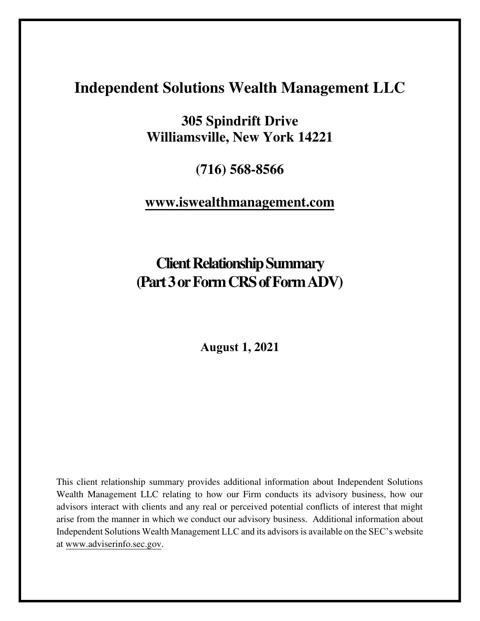# **Independent Solutions Wealth Management LLC**

**305 Spindrift Drive Williamsville, New York 14221** 

**(716) 568-8566**

## **[www.iswealthmanagement.com](http://www.iswealthmanagement.com/)**

**Client Relationship Summary (Part 3 or Form CRS of Form ADV)** 

**August 1, 2021**

This client relationship summary provides additional information about Independent Solutions Wealth Management LLC relating to how our Firm conducts its advisory business, how our advisors interact with clients and any real or perceived potential conflicts of interest that might arise from the manner in which we conduct our advisory business. Additional information about Independent Solutions Wealth Management LLC and its advisorsis available on the SEC's website at [www.adviserinfo.sec.gov.](http://www.adviserinfo.sec.gov/)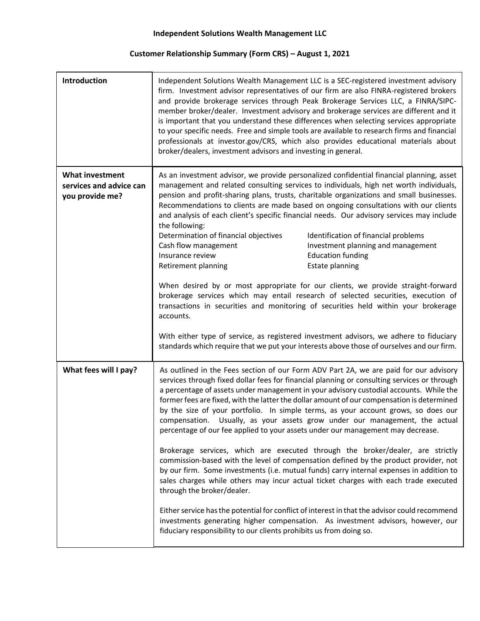### **Customer Relationship Summary (Form CRS) – August 1, 2021**

| Introduction                                                         | Independent Solutions Wealth Management LLC is a SEC-registered investment advisory<br>firm. Investment advisor representatives of our firm are also FINRA-registered brokers<br>and provide brokerage services through Peak Brokerage Services LLC, a FINRA/SIPC-<br>member broker/dealer. Investment advisory and brokerage services are different and it<br>is important that you understand these differences when selecting services appropriate<br>to your specific needs. Free and simple tools are available to research firms and financial<br>professionals at investor.gov/CRS, which also provides educational materials about<br>broker/dealers, investment advisors and investing in general.                                                                                                                                                                                                                                                                                                                                                                                                                                                                                                                                                                                 |
|----------------------------------------------------------------------|---------------------------------------------------------------------------------------------------------------------------------------------------------------------------------------------------------------------------------------------------------------------------------------------------------------------------------------------------------------------------------------------------------------------------------------------------------------------------------------------------------------------------------------------------------------------------------------------------------------------------------------------------------------------------------------------------------------------------------------------------------------------------------------------------------------------------------------------------------------------------------------------------------------------------------------------------------------------------------------------------------------------------------------------------------------------------------------------------------------------------------------------------------------------------------------------------------------------------------------------------------------------------------------------|
| <b>What investment</b><br>services and advice can<br>you provide me? | As an investment advisor, we provide personalized confidential financial planning, asset<br>management and related consulting services to individuals, high net worth individuals,<br>pension and profit-sharing plans, trusts, charitable organizations and small businesses.<br>Recommendations to clients are made based on ongoing consultations with our clients<br>and analysis of each client's specific financial needs. Our advisory services may include<br>the following:<br>Determination of financial objectives<br>Identification of financial problems<br>Investment planning and management<br>Cash flow management<br>Insurance review<br><b>Education funding</b><br>Estate planning<br>Retirement planning<br>When desired by or most appropriate for our clients, we provide straight-forward<br>brokerage services which may entail research of selected securities, execution of<br>transactions in securities and monitoring of securities held within your brokerage<br>accounts.<br>With either type of service, as registered investment advisors, we adhere to fiduciary<br>standards which require that we put your interests above those of ourselves and our firm.                                                                                            |
| What fees will I pay?                                                | As outlined in the Fees section of our Form ADV Part 2A, we are paid for our advisory<br>services through fixed dollar fees for financial planning or consulting services or through<br>a percentage of assets under management in your advisory custodial accounts. While the<br>former fees are fixed, with the latter the dollar amount of our compensation is determined<br>by the size of your portfolio. In simple terms, as your account grows, so does our<br>compensation. Usually, as your assets grow under our management, the actual<br>percentage of our fee applied to your assets under our management may decrease.<br>Brokerage services, which are executed through the broker/dealer, are strictly<br>commission-based with the level of compensation defined by the product provider, not<br>by our firm. Some investments (i.e. mutual funds) carry internal expenses in addition to<br>sales charges while others may incur actual ticket charges with each trade executed<br>through the broker/dealer.<br>Either service has the potential for conflict of interest in that the advisor could recommend<br>investments generating higher compensation. As investment advisors, however, our<br>fiduciary responsibility to our clients prohibits us from doing so. |